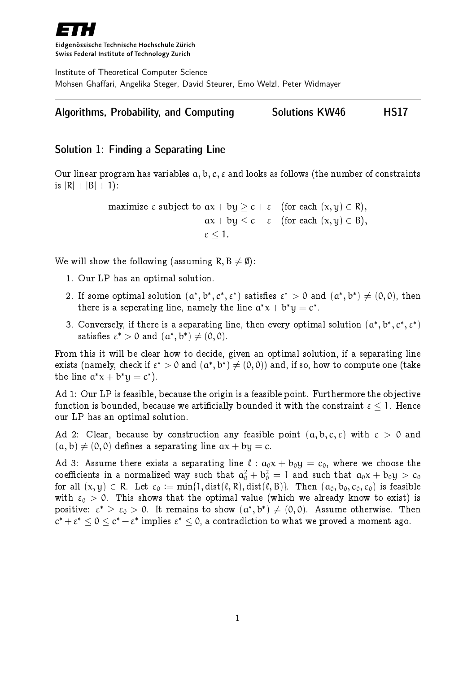

Eidgenössische Technische Hochschule Zürich Swiss Federal Institute of Technology Zurich

Institute of Theoretical Computer Science Mohsen Ghaffari, Angelika Steger, David Steurer, Emo Welzl, Peter Widmayer

|  |  | <b>Algorithms, Probability, and Computing</b> | <b>Solutions KW46</b> | <b>HS17</b> |
|--|--|-----------------------------------------------|-----------------------|-------------|
|--|--|-----------------------------------------------|-----------------------|-------------|

# Solution 1: Finding a Separating Line

Our linear program has variables  $a, b, c, \varepsilon$  and looks as follows (the number of constraints is  $|R| + |B| + 1$ :

> maximize  $\varepsilon$  subject to  $ax + by > c + \varepsilon$  (for each  $(x, y) \in R$ ),  $ax + by \leq c - \varepsilon$  (for each  $(x, y) \in B$ ),  $\varepsilon$  < 1.

We will show the following (assuming  $R, B \neq \emptyset$ ):

- 1. Our LP has an optimal solution.
- 2. If some optimal solution  $(a^*, b^*, c^*, \varepsilon^*)$  satisfies  $\varepsilon^* > 0$  and  $(a^*, b^*) \neq (0, 0)$ , then there is a seperating line, namely the line  $a^*x + b^*y = c^*$ .
- 3. Conversely, if there is a separating line, then every optimal solution  $(a^*,b^*,c^*,\epsilon^*)$ satisfies  $\varepsilon^* > 0$  and  $(a^*, b^*) \neq (0, 0)$ .

From this it will be clear how to decide, given an optimal solution, if a separating line exists (namely, check if  $\varepsilon^* > 0$  and  $(\alpha^*,b^*) \neq (0,0)$ ) and, if so, how to compute one (take the line  $a^*x + b^*y = c^*$ ).

Ad 1: Our LP is feasible, because the origin is a feasible point. Furthermore the objective function is bounded, because we artificially bounded it with the constraint  $\epsilon \leq 1$ . Hence our LP has an optimal solution.

Ad 2: Clear, because by construction any feasible point  $(a, b, c, \varepsilon)$  with  $\varepsilon > 0$  and  $(a, b) \neq (0, 0)$  defines a separating line  $ax + by = c$ .

Ad 3: Assume there exists a separating line  $\ell : a_0x + b_0y = c_0$ , where we choose the coefficients in a normalized way such that  $\rm a_0^2 + b_0^2 = 1$  and such that  $\rm a_0x + b_0y > c_0$ for all  $(x, y) \in R$ . Let  $\varepsilon_0 := \min\{1, \text{dist}(\ell, R), \text{dist}(\ell, B)\}.$  Then  $(a_0, b_0, c_0, \varepsilon_0)$  is feasible with  $\varepsilon_0 > 0$ . This shows that the optimal value (which we already know to exist) is positive:  $\varepsilon^* \geq \varepsilon_0 > 0$ . It remains to show  $({\mathfrak{a}}^*,{\mathfrak{b}}^*) \neq (0,0)$ . Assume otherwise. Then  $c^*+\varepsilon^*\leq 0\leq c^*-\varepsilon^*$  implies  $\varepsilon^*\leq 0,$  a contradiction to what we proved a moment ago.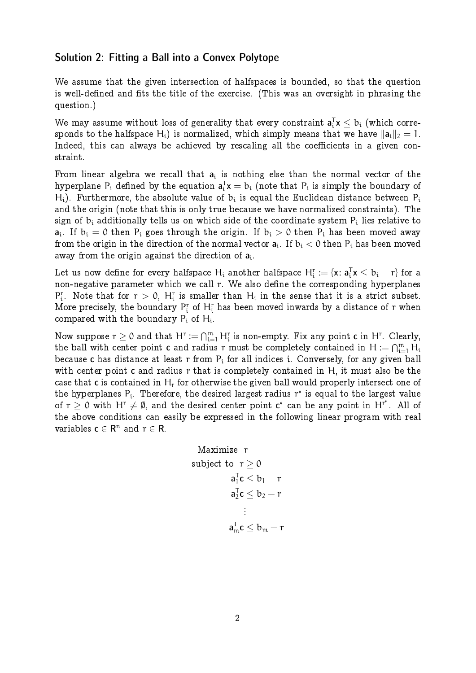# Solution 2: Fitting a Ball into a Convex Polytope

We assume that the given intersection of halfspaces is bounded, so that the question is well-defined and fits the title of the exercise. (This was an oversight in phrasing the question.)

We may assume without loss of generality that every constraint  $\mathbf{a}_\mathfrak{l}^\intercal \mathbf{x} \leq \mathbf{b}_\mathfrak{t}$  (which corresponds to the halfspace H<sub>i</sub>) is normalized, which simply means that we have  $\|a_i\|_2 = 1$ . Indeed, this can always be achieved by rescaling all the coefficients in a given constraint.

From linear algebra we recall that  $\boldsymbol{a}_i$  is nothing else than the normal vector of the hyperplane  $\mathsf{P}_\mathfrak{i}$  defined by the equation  $\mathsf{a}_\mathfrak{i}^\mathsf{T}\mathsf{x}=\mathsf{b}_\mathfrak{i}$  (note that  $\mathsf{P}_\mathfrak{i}$  is simply the boundary of H<sub>i</sub>). Furthermore, the absolute value of  $\rm b_i$  is equal the Euclidean distance between  $\rm P_i$ and the origin (note that this is only true because we have normalized constraints). The sign of  $\mathrm{b_{i}}$  additionally tells us on which side of the coordinate system  $\mathrm{P_{i}}$  lies relative to  ${\sf a}_{\mathfrak i}$ . If  ${\sf b}_{\mathfrak i}=0$  then  ${\sf P}_{\mathfrak i}$  goes through the origin. If  ${\sf b}_{\mathfrak i}>0$  then  ${\sf P}_{\mathfrak i}$  has been moved away from the origin in the direction of the normal vector  $\boldsymbol{\mathsf{a}}_\textnormal{i}.$  If  $\boldsymbol{\mathsf{b}}_\textnormal{i} < 0$  then  $\boldsymbol{\mathsf{P}}_\textnormal{i}$  has been moved away from the origin against the direction of  $\mathbf{a}_\text{i}$ .

Let us now define for every halfspace  ${\sf H_i}$  another halfspace  ${\sf H_i^r}:=\{ {\sf x}\colon {\sf a}_i^{\sf T}{\sf x}\leq b_i-r\}$  for a non-negative parameter which we call r. We also define the corresponding hyperplanes  $P_i^r$ . Note that for  $r > 0$ ,  $H_i^r$  is smaller than  $H_i$  in the sense that it is a strict subset. More precisely, the boundary  $P_i^r$  of  $H_i^r$  has been moved inwards by a distance of  $r$  when compared with the boundary  $\mathsf{P}_{\mathfrak{i}}$  of  $\mathsf{H}_{\mathfrak{i}}.$ 

Now suppose  $r\geq 0$  and that  $H^r:=\bigcap_{i=1}^m H_i^r$  is non-empty. Fix any point  $\mathbf c$  in  $H^r.$  Clearly, the ball with center point  ${\mathsf c}$  and radius  ${\mathsf r}$  must be completely contained in  ${\mathsf H} \coloneqq \bigcap_{\mathsf i=1}^\mathfrak m {\mathsf H}_\mathsf i$ because c has distance at least r from  $P_i$  for all indices i. Conversely, for any given ball with center point c and radius r that is completely contained in H, it must also be the case that c is contained in  $H_r$  for otherwise the given ball would properly intersect one of the hyperplanes  $\mathsf{P}_{\mathfrak{i}}.$  Therefore, the desired largest radius  $\mathsf{r}^*$  is equal to the largest value of  $r \ge 0$  with H<sup>r</sup>  $\neq \emptyset$ , and the desired center point c<sup>\*</sup> can be any point in H<sup>r\*</sup>. All of the above conditions can easily be expressed in the following linear program with real variables  $c \in \mathsf{R}^n$  and  $r \in \mathsf{R}$ .

$$
\begin{aligned} \text{Maximize} & \quad r \\ \text{subject to} & \quad r \geq 0 \\ & \quad a_1^T c \leq b_1 - r \\ & \quad a_2^T c \leq b_2 - r \\ & \quad \vdots \\ & \quad a_m^T c \leq b_m - r \end{aligned}
$$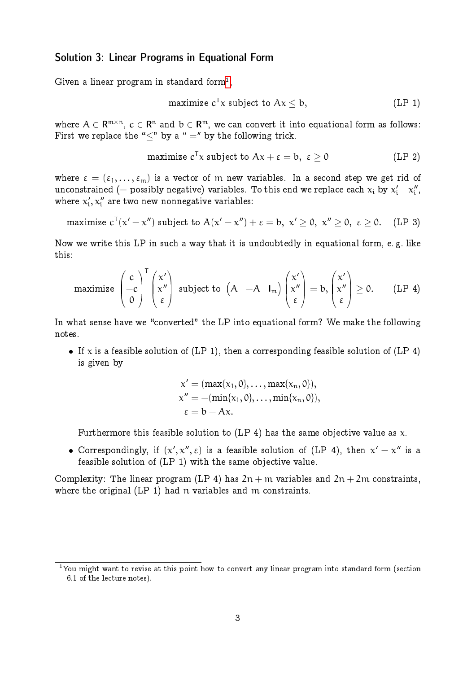## Solution 3: Linear Programs in Equational Form

Given a linear program in standard form $^1,$  $^1,$  $^1,$ 

$$
maximize cT x subject to Ax \leq b,
$$
 (LP 1)

where  $\mathcal{A}\in \mathsf{R}^{\mathfrak{m}\times \mathfrak{n}},\, \mathfrak{c}\in \mathsf{R}^{\mathfrak{n}}$  and  $\mathfrak{b}\in \mathsf{R}^{\mathfrak{m}},$  we can convert it into equational form as follows: First we replace the " $\lt$ " by a " =" by the following trick.

$$
\text{maximize } \text{c}^{\mathsf{T}}\text{x } \text{ subject to } \text{Ax} + \varepsilon = \text{b}, \,\, \varepsilon \geq 0 \qquad \qquad \text{(LP 2)}
$$

where  $\varepsilon = (\varepsilon_1, \ldots, \varepsilon_m)$  is a vector of m new variables. In a second step we get rid of unconstrained (= possibly negative) variables. To this end we replace each  $\mathsf{x_{i}}$  by  $\mathsf{x_{i}^{\prime}}\!-\!\mathsf{x_{i}^{\prime\prime}}$ יי<br>i י where  $x'_i$  $\mathbf{x}_i^{\prime}, \mathbf{x}_i^{\prime\prime}$  are two new nonnegative variables:

maximize 
$$
c^T(x'-x'')
$$
 subject to  $A(x'-x'') + \varepsilon = b$ ,  $x' \ge 0$ ,  $x'' \ge 0$ ,  $\varepsilon \ge 0$ . (LP 3)

Now we write this LP in such a way that it is undoubtedly in equational form, e. g. like this:

$$
\text{maximize } \begin{pmatrix} c \\ -c \\ 0 \end{pmatrix}^T \begin{pmatrix} x' \\ x'' \\ \epsilon \end{pmatrix} \text{ subject to } \begin{pmatrix} A & -A & I_m \end{pmatrix} \begin{pmatrix} x' \\ x'' \\ \epsilon \end{pmatrix} = b, \begin{pmatrix} x' \\ x'' \\ \epsilon \end{pmatrix} \geq 0. \qquad \text{(LP 4)}
$$

In what sense have we "converted" the LP into equational form? We make the following notes.

If x is a feasible solution of (LP 1), then a corresponding feasible solution of (LP 4) is given by

$$
x' = (\max\{x_1, 0\}, \ldots, \max\{x_n, 0\}),
$$
  
\n
$$
x'' = -(\min\{x_1, 0\}, \ldots, \min\{x_n, 0\}),
$$
  
\n
$$
\epsilon = b - Ax.
$$

Furthermore this feasible solution to (LP 4) has the same objective value as  $x$ .

• Correspondingly, if  $(x', x'', \varepsilon)$  is a feasible solution of (LP 4), then  $x' - x''$  is a feasible solution of (LP 1) with the same objective value.

Complexity: The linear program (LP 4) has  $2n + m$  variables and  $2n + 2m$  constraints, where the original (LP 1) had n variables and m constraints.

<span id="page-2-0"></span><sup>&</sup>lt;sup>1</sup>You might want to revise at this point how to convert any linear program into standard form (section 6.1 of the lecture notes).